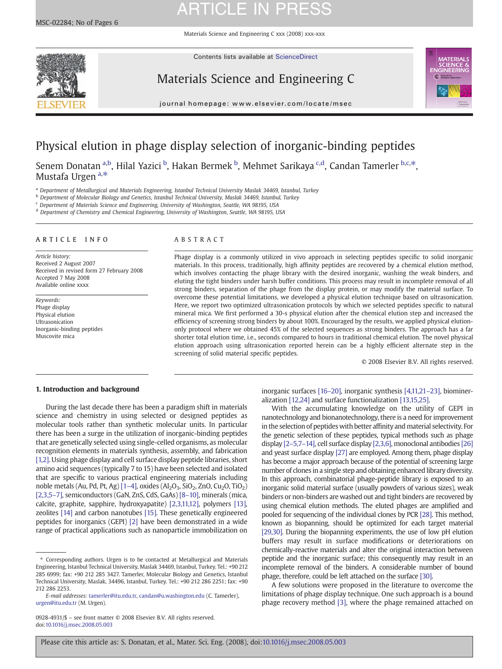Materials Science and Engineering C xxx (2008) xxx-xxx



Contents lists available at ScienceDirect

### Materials Science and Engineering C



journal homepage: www.elsevier.com/locate/msec

### Physical elution in phage display selection of inorganic-binding peptides

Senem Donatan <sup>a,b</sup>, Hilal Yazici <sup>b</sup>, Hakan Bermek <sup>b</sup>, Mehmet Sarikaya <sup>c,d</sup>, Candan Tamerler <sup>b,c,\*</sup>, Mustafa Urgen <sup>a,\*</sup>

<sup>a</sup> Department of Metallurgical and Materials Engineering, Istanbul Technical University Maslak 34469, Istanbul, Turkey

**b Department of Molecular Biology and Genetics, Istanbul Technical University, Maslak 34469, Istanbul, Turkey** 

<sup>c</sup> Department of Materials Science and Engineering, University of Washington, Seattle, WA 98195, USA

<sup>d</sup> Department of Chemistry and Chemical Engineering, University of Washington, Seattle, WA 98195, USA

### ARTICLE INFO ABSTRACT

Article history: Received 2 August 2007 Received in revised form 27 February 2008 Accepted 7 May 2008 Available online xxxx

Keywords: Phage display Physical elution Ultrasonication Inorganic-binding peptides Muscovite mica

Phage display is a commonly utilized in vivo approach in selecting peptides specific to solid inorganic materials. In this process, traditionally, high affinity peptides are recovered by a chemical elution method, which involves contacting the phage library with the desired inorganic, washing the weak binders, and eluting the tight binders under harsh buffer conditions. This process may result in incomplete removal of all strong binders, separation of the phage from the display protein, or may modify the material surface. To overcome these potential limitations, we developed a physical elution technique based on ultrasonication. Here, we report two optimized ultrasonication protocols by which we selected peptides specific to natural mineral mica. We first performed a 30-s physical elution after the chemical elution step and increased the efficiency of screening strong binders by about 100%. Encouraged by the results, we applied physical elutiononly protocol where we obtained 45% of the selected sequences as strong binders. The approach has a far shorter total elution time, i.e., seconds compared to hours in traditional chemical elution. The novel physical elution approach using ultrasonication reported herein can be a highly efficient alternate step in the screening of solid material specific peptides.

© 2008 Elsevier B.V. All rights reserved.

### 1. Introduction and background

During the last decade there has been a paradigm shift in materials science and chemistry in using selected or designed peptides as molecular tools rather than synthetic molecular units. In particular there has been a surge in the utilization of inorganic-binding peptides that are genetically selected using single-celled organisms, as molecular recognition elements in materials synthesis, assembly, and fabrication [\[1,2\].](#page-5-0) Using phage display and cell surface display peptide libraries, short amino acid sequences (typically 7 to 15) have been selected and isolated that are specific to various practical engineering materials including noble metals (Au, Pd, Pt, Ag)  $[1-4]$  $[1-4]$ , oxides (Al<sub>2</sub>O<sub>3</sub>, SiO<sub>2</sub>, ZnO, Cu<sub>2</sub>O, TiO<sub>2</sub>) [\[2,3,5](#page-5-0)–7], semiconductors (GaN, ZnS, CdS, GaAs) [8–[10\],](#page-5-0) minerals (mica, calcite, graphite, sapphire, hydroxyapatite) [\[2,3,11,12\],](#page-5-0) polymers [\[13\],](#page-5-0) zeolites [\[14\]](#page-5-0) and carbon nanotubes [\[15\]](#page-5-0). These genetically engineered peptides for inorganics (GEPI) [\[2\]](#page-5-0) have been demonstrated in a wide range of practical applications such as nanoparticle immobilization on

inorganic surfaces [16–[20\],](#page-5-0) inorganic synthesis [\[4,11,21](#page-5-0)–23], biomineralization [\[12,24\]](#page-5-0) and surface functionalization [\[13,15,25\].](#page-5-0)

With the accumulating knowledge on the utility of GEPI in nanotechnology and bionanotechnology, there is a need for improvement in the selection of peptides with better affinity and material selectivity. For the genetic selection of these peptides, typical methods such as phage display [2–[5,7](#page-5-0)–14], cell surface display [\[2,3,6\]](#page-5-0), monoclonal antibodies [\[26\]](#page-5-0) and yeast surface display [\[27\]](#page-5-0) are employed. Among them, phage display has become a major approach because of the potential of screening large number of clones in a single step and obtaining enhanced library diversity. In this approach, combinatorial phage-peptide library is exposed to an inorganic solid material surface (usually powders of various sizes), weak binders or non-binders are washed out and tight binders are recovered by using chemical elution methods. The eluted phages are amplified and pooled for sequencing of the individual clones by PCR [\[28\]](#page-5-0). This method, known as biopanning, should be optimized for each target material [\[29,30\].](#page-5-0) During the biopanning experiments, the use of low pH elution buffers may result in surface modifications or deteriorations on chemically-reactive materials and alter the original interaction between peptide and the inorganic surface; this consequently may result in an incomplete removal of the binders. A considerable number of bound phage, therefore, could be left attached on the surface [\[30\]](#page-5-0).

A few solutions were proposed in the literature to overcome the limitations of phage display technique. One such approach is a bound phage recovery method [\[3\],](#page-5-0) where the phage remained attached on

<sup>⁎</sup> Corresponding authors. Urgen is to be contacted at Metallurgical and Materials Engineering, Istanbul Technical University, Maslak 34469, Istanbul, Turkey. Tel.: +90 212 285 6999; fax: +90 212 285 3427. Tamerler, Molecular Biology and Genetics, Istanbul Technical University, Maslak, 34496, Istanbul, Turkey. Tel.: +90 212 286 2251; fax: +90 212 286 2253.

E-mail addresses: [tamerler@itu.edu.tr,](mailto:tamerler@itu.edu.tr) [candan@u.washington.edu](mailto:candan@u.washington.edu) (C. Tamerler), [urgen@itu.edu.tr](mailto:urgen@itu.edu.tr) (M. Urgen).

<sup>0928-4931/\$</sup> – see front matter © 2008 Elsevier B.V. All rights reserved. doi:[10.1016/j.msec.2008.05.003](http://dx.doi.org/10.1016/j.msec.2008.05.003)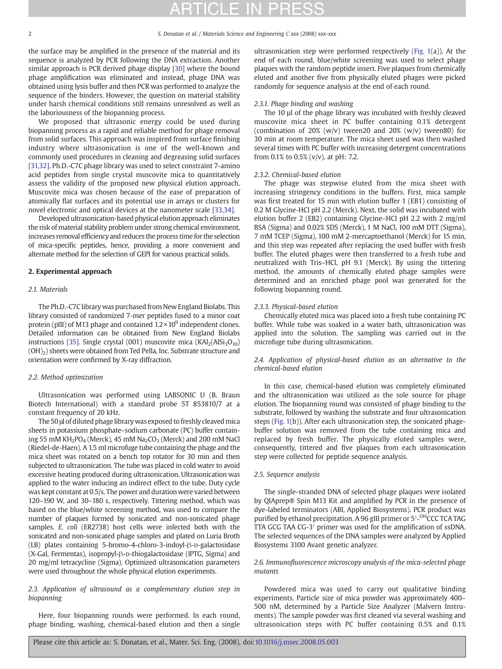### 2 S. Donatan et al. / Materials Science and Engineering C xxx (2008) xxx-xxx

the surface may be amplified in the presence of the material and its sequence is analyzed by PCR following the DNA extraction. Another similar approach is PCR derived phage display [\[30\]](#page-5-0) where the bound phage amplification was eliminated and instead, phage DNA was obtained using lysis buffer and then PCR was performed to analyze the sequence of the binders. However, the question on material stability under harsh chemical conditions still remains unresolved as well as the laboriousness of the biopanning process.

We proposed that ultrasonic energy could be used during biopanning process as a rapid and reliable method for phage removal from solid surfaces. This approach was inspired from surface finishing industry where ultrasonication is one of the well-known and commonly used procedures in cleaning and degreasing solid surfaces [\[31,32\]](#page-5-0). Ph.D.-C7C phage library was used to select constraint 7-amino acid peptides from single crystal muscovite mica to quantitatively assess the validity of the proposed new physical elution approach. Muscovite mica was chosen because of the ease of preparation of atomically flat surfaces and its potential use in arrays or clusters for novel electronic and optical devices at the nanometer scale [\[33,34\]](#page-5-0).

Developed ultrasonication-based physical elution approach eliminates the risk of material stability problem under strong chemical environment, increases removal efficiency and reduces the process time for the selection of mica-specific peptides, hence, providing a more convenient and alternate method for the selection of GEPI for various practical solids.

### 2. Experimental approach

#### 2.1. Materials

The Ph.D.-C7C library was purchased from New England Biolabs. This library consisted of randomized 7-mer peptides fused to a minor coat protein (pIII) of M13 phage and contained  $1.2 \times 10^9$  independent clones. Detailed information can be obtained from New England Biolabs instructions [\[35\]](#page-5-0). Single crystal (001) muscovite mica ( $KAI<sub>2</sub>(AIS<sub>3</sub>O<sub>10</sub>)$ (OH)2) sheets were obtained from Ted Pella, Inc. Substrate structure and orientation were confirmed by X-ray diffraction.

### 2.2. Method optimization

Ultrasonication was performed using LABSONIC U (B. Braun Biotech International) with a standard probe 5T 853810/7 at a constant frequency of 20 kHz.

The 50 μl of diluted phage library was exposed to freshly cleaved mica sheets in potassium phosphate–sodium carbonate (PC) buffer containing 55 mM KH<sub>2</sub>PO<sub>4</sub> (Merck), 45 mM Na<sub>2</sub>CO<sub>3</sub> (Merck) and 200 mM NaCl (Riedel-de-Haen). A 1.5 ml microfuge tube containing the phage and the mica sheet was rotated on a bench top rotator for 30 min and then subjected to ultrasonication. The tube was placed in cold water to avoid excessive heating produced during ultrasonication. Ultrasonication was applied to the water inducing an indirect effect to the tube. Duty cycle was kept constant at 0.5/s. The power and duration were varied between 120–190 W, and 30–180 s, respectively. Tittering method, which was based on the blue/white screening method, was used to compare the number of plaques formed by sonicated and non-sonicated phage samples. E. coli (ER2738) host cells were infected both with the sonicated and non-sonicated phage samples and plated on Luria Broth (LB) plates containing 5-bromo-4-chloro-3-indoyl-β-D-galactosidase (X-Gal, Fermentas), isopropyl-β-D-thiogalactosidase (IPTG, Sigma) and 20 mg/ml tetracycline (Sigma). Optimized ultrasonication parameters were used throughout the whole physical elution experiments.

### 2.3. Application of ultrasound as a complementary elution step in biopanning

Here, four biopanning rounds were performed. In each round, phage binding, washing, chemical-based elution and then a single ultrasonication step were performed respectively ([Fig. 1](#page-2-0)(a)). At the end of each round, blue/white screening was used to select phage plaques with the random peptide insert. Five plaques from chemically eluted and another five from physically eluted phages were picked randomly for sequence analysis at the end of each round.

### 2.3.1. Phage binding and washing

The 10 µl of the phage library was incubated with freshly cleaved muscovite mica sheet in PC buffer containing 0.1% detergent (combination of  $20\%$  (w/v) tween20 and  $20\%$  (w/v) tween80) for 30 min at room temperature. The mica sheet used was then washed several times with PC buffer with increasing detergent concentrations from 0.1% to 0.5% (v/v), at pH: 7.2.

### 2.3.2. Chemical-based elution

The phage was stepwise eluted from the mica sheet with increasing stringency conditions in the buffers. First, mica sample was first treated for 15 min with elution buffer 1 (EB1) consisting of 0.2 M Glycine-HCl pH 2.2 (Merck). Next, the solid was incubated with elution buffer 2 (EB2) containing Glycine–HCI pH 2.2 with 2 mg/ml BSA (Sigma) and 0.02% SDS (Merck), 1 M NaCl, 100 mM DTT (Sigma), 7 mM TCEP (Sigma), 100 mM 2-mercaptoethanol (Merck) for 15 min, and this step was repeated after replacing the used buffer with fresh buffer. The eluted phages were then transferred to a fresh tube and neutralized with Tris–HCl, pH 9.1 (Merck). By using the tittering method, the amounts of chemically eluted phage samples were determined and an enriched phage pool was generated for the following biopanning round.

### 2.3.3. Physical-based elution

Chemically eluted mica was placed into a fresh tube containing PC buffer. While tube was soaked in a water bath, ultrasonication was applied into the solution. The sampling was carried out in the microfuge tube during ultrasonication.

2.4. Application of physical-based elution as an alternative to the chemical-based elution

In this case, chemical-based elution was completely eliminated and the ultrasonication was utilized as the sole source for phage elution. The biopanning round was consisted of phage binding to the substrate, followed by washing the substrate and four ultrasonication steps ([Fig. 1](#page-2-0)(b)). After each ultrasonication step, the sonicated phagebuffer solution was removed from the tube containing mica and replaced by fresh buffer. The physically eluted samples were, consequently, tittered and five plaques from each ultrasonication step were collected for peptide sequence analysis.

### 2.5. Sequence analysis

The single-stranded DNA of selected phage plaques were isolated by QIAprep® Spin M13 Kit and amplified by PCR in the presence of dye-labeled terminators (ABI, Applied Biosystems). PCR product was purified by ethanol precipitation. A 96 gIII primer or 5'-<sup>OH</sup>CCC TCA TAG TTA GCG TAA CG-3′ primer was used for the amplification of ssDNA. The selected sequences of the DNA samples were analyzed by Applied Biosystems 3100 Avant genetic analyzer.

2.6. Immunofluorescence microscopy analysis of the mica-selected phage mutants

Powdered mica was used to carry out qualitative binding experiments. Particle size of mica powder was approximately 400– 500 nM, determined by a Particle Size Analyzer (Malvern Instruments). The sample powder was first cleaned via several washing and ultrasonication steps with PC buffer containing 0.5% and 0.1%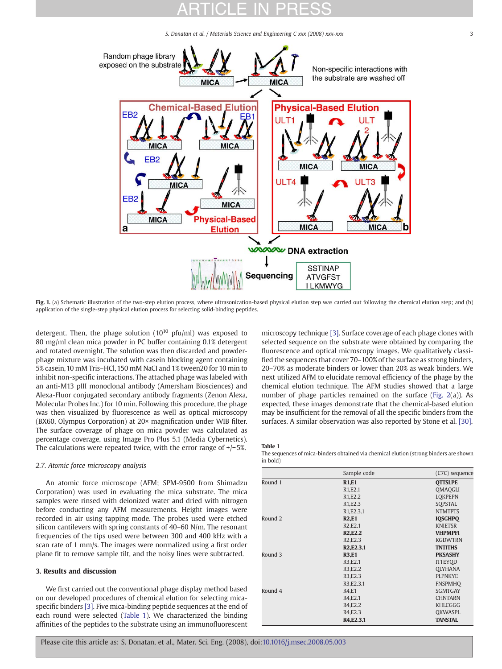S. Donatan et al. / Materials Science and Engineering C xxx (2008) xxx-xxx 3 3

<span id="page-2-0"></span>

Fig. 1. (a) Schematic illustration of the two-step elution process, where ultrasonication-based physical elution step was carried out following the chemical elution step; and (b) application of the single-step physical elution process for selecting solid-binding peptides.

detergent. Then, the phage solution  $(10^{10} \text{ pftu/ml})$  was exposed to 80 mg/ml clean mica powder in PC buffer containing 0.1% detergent and rotated overnight. The solution was then discarded and powderphage mixture was incubated with casein blocking agent containing 5% casein, 10 mM Tris–HCl, 150 mM NaCI and 1% tween20 for 10 min to inhibit non-specific interactions. The attached phage was labeled with an anti-M13 pIII monoclonal antibody (Amersham Biosciences) and Alexa-Fluor conjugated secondary antibody fragments (Zenon Alexa, Molecular Probes Inc.) for 10 min. Following this procedure, the phage was then visualized by fluorescence as well as optical microscopy (BX60, Olympus Corporation) at 20× magnification under WIB filter. The surface coverage of phage on mica powder was calculated as percentage coverage, using Image Pro Plus 5.1 (Media Cybernetics). The calculations were repeated twice, with the error range of +/−5%.

### 2.7. Atomic force microscopy analysis

An atomic force microscope (AFM; SPM-9500 from Shimadzu Corporation) was used in evaluating the mica substrate. The mica samples were rinsed with deionized water and dried with nitrogen before conducting any AFM measurements. Height images were recorded in air using tapping mode. The probes used were etched silicon cantilevers with spring constants of 40–60 N/m. The resonant frequencies of the tips used were between 300 and 400 kHz with a scan rate of 1 mm/s. The images were normalized using a first order plane fit to remove sample tilt, and the noisy lines were subtracted.

### 3. Results and discussion

We first carried out the conventional phage display method based on our developed procedures of chemical elution for selecting micaspecific binders [\[3\]](#page-5-0). Five mica-binding peptide sequences at the end of each round were selected (Table 1). We characterized the binding affinities of the peptides to the substrate using an immunofluorescent

microscopy technique [\[3\]](#page-5-0). Surface coverage of each phage clones with selected sequence on the substrate were obtained by comparing the fluorescence and optical microscopy images. We qualitatively classified the sequences that cover 70–100% of the surface as strong binders, 20–70% as moderate binders or lower than 20% as weak binders. We next utilized AFM to elucidate removal efficiency of the phage by the chemical elution technique. The AFM studies showed that a large number of phage particles remained on the surface ([Fig. 2\(](#page-3-0)a)). As expected, these images demonstrate that the chemical-based elution may be insufficient for the removal of all the specific binders from the surfaces. A similar observation was also reported by Stone et al. [\[30\]](#page-5-0).

#### Table 1

The sequences of mica-binders obtained via chemical elution (strong binders are shown in bold)

|         | Sample code                          | (C7C) sequence |
|---------|--------------------------------------|----------------|
| Round 1 | <b>R1,E1</b>                         | <b>OTTSLPE</b> |
|         | R <sub>1</sub> ,E <sub>2</sub> ,1    | <b>OMAQGLI</b> |
|         | R <sub>1</sub> ,E <sub>2</sub> .2    | <b>LOKPEPN</b> |
|         | R <sub>1</sub> ,E <sub>2</sub> .3    | SOPSTAL        |
|         | R <sub>1</sub> ,E <sub>2</sub> .3.1  | <b>NTMTPTS</b> |
| Round 2 | <b>R2,E1</b>                         | <b>IOSGHPO</b> |
|         | R <sub>2</sub> , E <sub>2.1</sub>    | <b>KNIETSR</b> |
|         | <b>R2,E2.2</b>                       | <b>VHPMPFI</b> |
|         | R <sub>2</sub> , E <sub>2</sub> .3   | <b>KGDWTRN</b> |
|         | R <sub>2</sub> , E <sub>2</sub> .3.1 | <b>TNTITHS</b> |
| Round 3 | <b>R3,E1</b>                         | <b>PKSASHY</b> |
|         | R3,E2.1                              | <b>ITTEYOD</b> |
|         | R3,E2.2                              | <b>OLYHANA</b> |
|         | R <sub>3</sub> , E <sub>2</sub> .3   | <b>PLPNKYE</b> |
|         | R3, E2.3.1                           | <b>FNSPMHO</b> |
| Round 4 | <b>R4.E1</b>                         | <b>SGMTGAY</b> |
|         | R4,E2.1                              | <b>CHNTARN</b> |
|         | R4, E2.2                             | <b>KHLCGGG</b> |
|         | R4, E2.3                             | OKWASPL        |
|         | R4, E2.3.1                           | <b>TANSTAL</b> |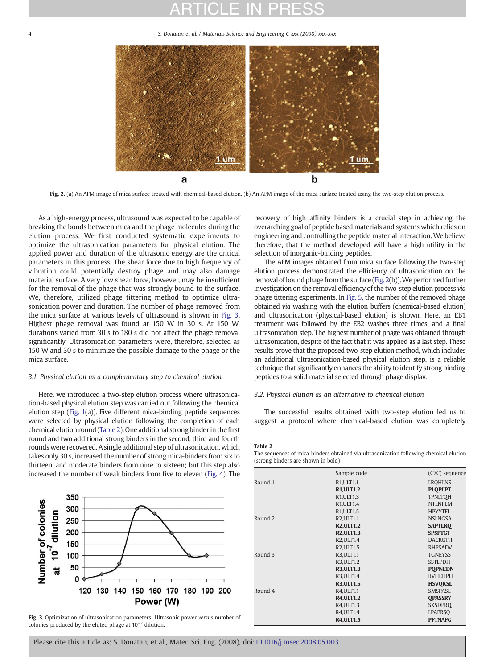5. Donatan et al. / Materials Science and Engineering C xxx (2008) xxx-xxx

<span id="page-3-0"></span>

Fig. 2. (a) An AFM image of mica surface treated with chemical-based elution. (b) An AFM image of the mica surface treated using the two-step elution process.

As a high-energy process, ultrasound was expected to be capable of breaking the bonds between mica and the phage molecules during the elution process. We first conducted systematic experiments to optimize the ultrasonication parameters for physical elution. The applied power and duration of the ultrasonic energy are the critical parameters in this process. The shear force due to high frequency of vibration could potentially destroy phage and may also damage material surface. A very low shear force, however, may be insufficient for the removal of the phage that was strongly bound to the surface. We, therefore, utilized phage tittering method to optimize ultrasonication power and duration. The number of phage removed from the mica surface at various levels of ultrasound is shown in Fig. 3. Highest phage removal was found at 150 W in 30 s. At 150 W, durations varied from 30 s to 180 s did not affect the phage removal significantly. Ultrasonication parameters were, therefore, selected as 150 W and 30 s to minimize the possible damage to the phage or the mica surface.

### 3.1. Physical elution as a complementary step to chemical elution

Here, we introduced a two-step elution process where ultrasonication-based physical elution step was carried out following the chemical elution step [\(Fig. 1](#page-2-0)(a)). Five different mica-binding peptide sequences were selected by physical elution following the completion of each chemical elution round (Table 2). One additional strong binder in thefirst round and two additional strong binders in the second, third and fourth rounds were recovered. A single additional step of ultrasonication, which takes only 30 s, increased the number of strong mica-binders from six to thirteen, and moderate binders from nine to sixteen; but this step also increased the number of weak binders from five to eleven [\(Fig. 4\)](#page-4-0). The



Fig. 3. Optimization of ultrasonication parameters: Ultrasonic power versus number of colonies produced by the eluted phage at 10−<sup>7</sup> dilution.

recovery of high affinity binders is a crucial step in achieving the overarching goal of peptide based materials and systems which relies on engineering and controlling the peptide material interaction.We believe therefore, that the method developed will have a high utility in the selection of inorganic-binding peptides.

The AFM images obtained from mica surface following the two-step elution process demonstrated the efficiency of ultrasonication on the removal of bound phage from the surface (Fig. 2(b)). We performed further investigation on the removal efficiency of the two-step elution process via phage tittering experiments. In [Fig. 5](#page-4-0), the number of the removed phage obtained via washing with the elution buffers (chemical-based elution) and ultrasonication (physical-based elution) is shown. Here, an EB1 treatment was followed by the EB2 washes three times, and a final ultrasonication step. The highest number of phage was obtained through ultrasonication, despite of the fact that it was applied as a last step. These results prove that the proposed two-step elution method, which includes an additional ultrasonication-based physical elution step, is a reliable technique that significantly enhances the ability to identify strong binding peptides to a solid material selected through phage display.

### 3.2. Physical elution as an alternative to chemical elution

The successful results obtained with two-step elution led us to suggest a protocol where chemical-based elution was completely

#### Table 2

The sequences of mica-binders obtained via ultrasonication following chemical elution (strong binders are shown in bold)

|         | Sample code                        | (C7C) sequence |
|---------|------------------------------------|----------------|
| Round 1 | R <sub>1</sub> .ULT <sub>1.1</sub> | <b>LROHLNS</b> |
|         | <b>R1, ULT1.2</b>                  | <b>PLOPLPT</b> |
|         | R1, ULT1.3                         | <b>TPNLTOH</b> |
|         | R1, ULT1.4                         | <b>NTLNPLM</b> |
|         | R1, ULT1.5                         | HPYYTFI.       |
| Round 2 | R2, ULT1.1                         | <b>NSLNGSA</b> |
|         | <b>R2, ULT1.2</b>                  | <b>SAPTLRO</b> |
|         | <b>R2, ULT1.3</b>                  | <b>SPSPTGT</b> |
|         | <b>R2.ULT1.4</b>                   | <b>DACRGTH</b> |
|         | <b>R2, ULT1.5</b>                  | <b>RHPSADV</b> |
| Round 3 | R3.ULT1.1                          | <b>TGNEYSS</b> |
|         | R3.ULT1.2                          | <b>SSTLPDH</b> |
|         | <b>R3.ULT1.3</b>                   | <b>POPNEDN</b> |
|         | R3, ULT1.4                         | <b>RVHEHPH</b> |
|         | <b>R3, ULT1.5</b>                  | <b>HSVOKSL</b> |
| Round 4 | R4, ULT1.1                         | SMSPASI.       |
|         | <b>R4, ULT1.2</b>                  | <b>OPASSRY</b> |
|         | R4, ULT1.3                         | <b>SKSDPRO</b> |
|         | <b>R4, ULT1.4</b>                  | <b>LPAERSO</b> |
|         | <b>R4, ULT1.5</b>                  | <b>PFTNAFG</b> |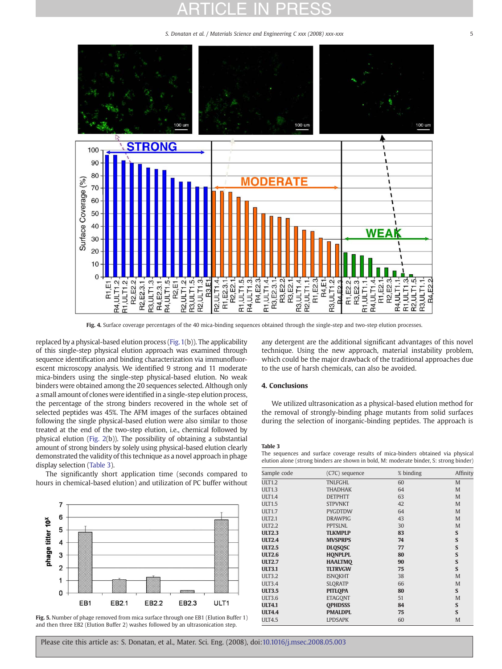S. Donatan et al. / Materials Science and Engineering C xxx (2008) xxx-xxx 55

<span id="page-4-0"></span>

Fig. 4. Surface coverage percentages of the 40 mica-binding sequences obtained through the single-step and two-step elution processes.

replaced by a physical-based elution process [\(Fig. 1](#page-2-0)(b)). The applicability of this single-step physical elution approach was examined through sequence identification and binding characterization via immunofluorescent microscopy analysis. We identified 9 strong and 11 moderate mica-binders using the single-step physical-based elution. No weak binders were obtained among the 20 sequences selected. Although only a small amount of clones were identified in a single-step elution process, the percentage of the strong binders recovered in the whole set of selected peptides was 45%. The AFM images of the surfaces obtained following the single physical-based elution were also similar to those treated at the end of the two-step elution, i.e., chemical followed by physical elution [\(Fig. 2\(](#page-3-0)b)). The possibility of obtaining a substantial amount of strong binders by solely using physical-based elution clearly demonstrated the validity of this technique as a novel approach in phage display selection (Table 3).

The significantly short application time (seconds compared to hours in chemical-based elution) and utilization of PC buffer without



Fig. 5. Number of phage removed from mica surface through one EB1 (Elution Buffer 1) and then three EB2 (Elution Buffer 2) washes followed by an ultrasonication step.

any detergent are the additional significant advantages of this novel technique. Using the new approach, material instability problem, which could be the major drawback of the traditional approaches due to the use of harsh chemicals, can also be avoided.

### 4. Conclusions

We utilized ultrasonication as a physical-based elution method for the removal of strongly-binding phage mutants from solid surfaces during the selection of inorganic-binding peptides. The approach is

#### Table 3

The sequences and surface coverage results of mica-binders obtained via physical elution alone (strong binders are shown in bold, M: moderate binder, S: strong binder)

| Sample code   | (C7C) sequence | % binding | Affinity    |
|---------------|----------------|-----------|-------------|
| <b>ULT1.2</b> | <b>TNLFGHL</b> | 60        | M           |
| <b>ULT1.3</b> | <b>THADHAK</b> | 64        | M           |
| <b>ULT1.4</b> | <b>DETPHTT</b> | 63        | M           |
| <b>ULT1.5</b> | <b>STPVNKT</b> | 42        | M           |
| <b>ULT1.7</b> | <b>PYGDTDW</b> | 64        | M           |
| <b>ULT2.1</b> | <b>DRAWPIG</b> | 43        | M           |
| <b>ULT2.2</b> | <b>PPTSLNL</b> | 30        | M           |
| <b>ULT2.3</b> | <b>TLKMPLP</b> | 83        | S           |
| <b>ULT2.4</b> | <b>MVSPRPS</b> | 74        | S           |
| <b>ULT2.5</b> | <b>DLQSQSC</b> | 77        | S           |
| <b>ULT2.6</b> | <b>HONPLPL</b> | 80        | S           |
| <b>ULT2.7</b> | <b>HAALTMO</b> | 90        | S           |
| <b>ULT3.1</b> | <b>TLTRVGW</b> | 75        | S           |
| <b>ULT3.2</b> | <b>ISNQKHT</b> | 38        | M           |
| <b>ULT3.4</b> | <b>SLORATP</b> | 66        | M           |
| <b>ULT3.5</b> | <b>PITLQPA</b> | 80        | $\mathbf S$ |
| ULT3.6        | <b>ETAGONT</b> | 51        | M           |
| <b>ULT4.1</b> | <b>OPHDSSS</b> | 84        | S           |
| <b>ULT4.4</b> | <b>PMALDPL</b> | 75        | S           |
| <b>ULT4.5</b> | <b>LPDSAPK</b> | 60        | M           |